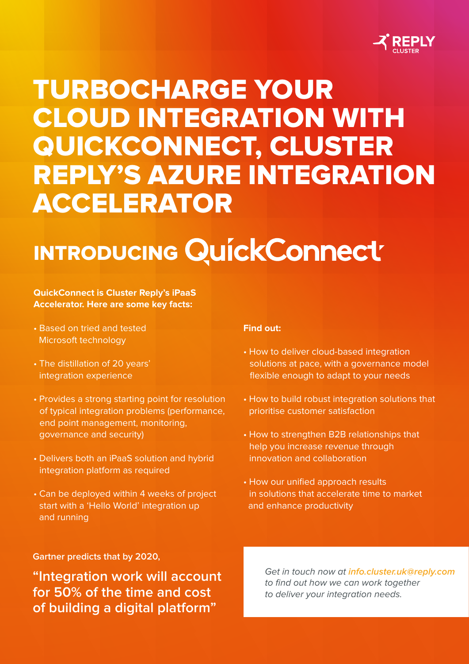

## TURBOCHARGE YOUR CLOUD INTEGRATION WITH QUICKCONNECT, CLUSTER REPLY'S AZURE INTEGRATION ACCELERATOR

# INTRODUCING QUICKCONNECT

### **QuickConnect is Cluster Reply's iPaaS Accelerator. Here are some key facts:**

- Based on tried and tested Microsoft technology
- The distillation of 20 years' integration experience
- Provides a strong starting point for resolution of typical integration problems (performance, end point management, monitoring, governance and security)
- Delivers both an iPaaS solution and hybrid integration platform as required
- Can be deployed within 4 weeks of project start with a 'Hello World' integration up and running

### **Find out:**

- How to deliver cloud-based integration solutions at pace, with a governance model flexible enough to adapt to your needs
- How to build robust integration solutions that prioritise customer satisfaction
- How to strengthen B2B relationships that help you increase revenue through innovation and collaboration
- How our unified approach results in solutions that accelerate time to market and enhance productivity

**Gartner predicts that by 2020,** 

**"Integration work will account for 50% of the time and cost of building a digital platform"**

Get in touch now at **info.cluster.uk@reply.com** to find out how we can work together to deliver your integration needs.